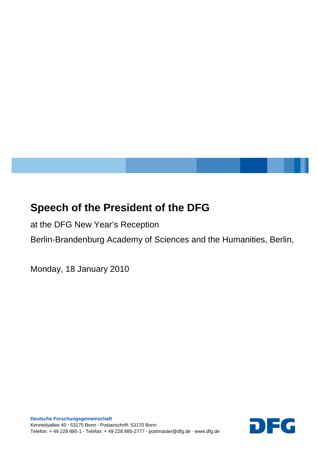# **Speech of the President of the DFG**

at the DFG New Year's Reception

Berlin-Brandenburg Academy of Sciences and the Humanities, Berlin,

Monday, 18 January 2010

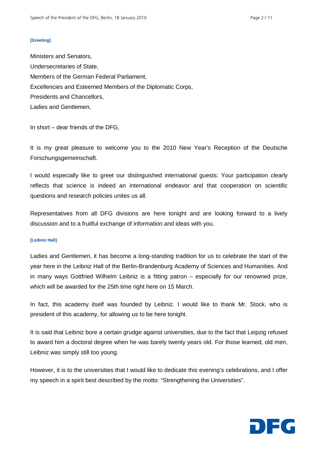#### **[Greeting]**

Ministers and Senators, Undersecretaries of State, Members of the German Federal Parliament, Excellencies and Esteemed Members of the Diplomatic Corps, Presidents and Chancellors, Ladies and Gentlemen,

In short – dear friends of the DFG,

It is my great pleasure to welcome you to the 2010 New Year's Reception of the Deutsche Forschungsgemeinschaft.

I would especially like to greet our distinguished international guests: Your participation clearly reflects that science is indeed an international endeavor and that cooperation on scientific questions and research policies unites us all.

Representatives from all DFG divisions are here tonight and are looking forward to a lively discussion and to a fruitful exchange of information and ideas with you.

## **[Leibniz Hall]**

Ladies and Gentlemen, it has become a long-standing tradition for us to celebrate the start of the year here in the Leibniz Hall of the Berlin-Brandenburg Academy of Sciences and Humanities. And in many ways Gottfried Wilhelm Leibniz is a fitting patron – especially for our renowned prize, which will be awarded for the 25th time right here on 15 March.

In fact, this academy itself was founded by Leibniz. I would like to thank Mr. Stock, who is president of this academy, for allowing us to be here tonight.

It is said that Leibniz bore a certain grudge against universities, due to the fact that Leipzig refused to award him a doctoral degree when he was barely twenty years old. For those learned, old men, Leibniz was simply still too young.

However, it is to the universities that I would like to dedicate this evening's celebrations, and I offer my speech in a spirit best described by the motto: "Strengthening the Universities".

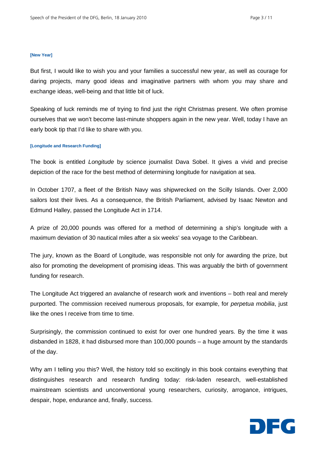#### **[New Year]**

But first, I would like to wish you and your families a successful new year, as well as courage for daring projects, many good ideas and imaginative partners with whom you may share and exchange ideas, well-being and that little bit of luck.

Speaking of luck reminds me of trying to find just the right Christmas present. We often promise ourselves that we won't become last-minute shoppers again in the new year. Well, today I have an early book tip that I'd like to share with you.

#### **[Longitude and Research Funding]**

The book is entitled *Longitude* by science journalist Dava Sobel. It gives a vivid and precise depiction of the race for the best method of determining longitude for navigation at sea.

In October 1707, a fleet of the British Navy was shipwrecked on the Scilly Islands. Over 2,000 sailors lost their lives. As a consequence, the British Parliament, advised by Isaac Newton and Edmund Halley, passed the Longitude Act in 1714.

A prize of 20,000 pounds was offered for a method of determining a ship's longitude with a maximum deviation of 30 nautical miles after a six weeks' sea voyage to the Caribbean.

The jury, known as the Board of Longitude, was responsible not only for awarding the prize, but also for promoting the development of promising ideas. This was arguably the birth of government funding for research.

The Longitude Act triggered an avalanche of research work and inventions – both real and merely purported. The commission received numerous proposals, for example, for *perpetua mobilia*, just like the ones I receive from time to time.

Surprisingly, the commission continued to exist for over one hundred years. By the time it was disbanded in 1828, it had disbursed more than 100,000 pounds – a huge amount by the standards of the day.

Why am I telling you this? Well, the history told so excitingly in this book contains everything that distinguishes research and research funding today: risk-laden research, well-established mainstream scientists and unconventional young researchers, curiosity, arrogance, intrigues, despair, hope, endurance and, finally, success.

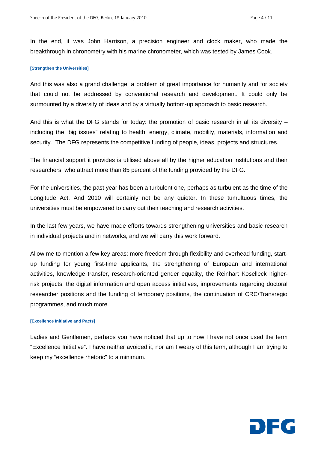In the end, it was John Harrison, a precision engineer and clock maker, who made the breakthrough in chronometry with his marine chronometer, which was tested by James Cook.

## **[Strengthen the Universities]**

And this was also a grand challenge, a problem of great importance for humanity and for society that could not be addressed by conventional research and development. It could only be surmounted by a diversity of ideas and by a virtually bottom-up approach to basic research.

And this is what the DFG stands for today: the promotion of basic research in all its diversity – including the "big issues" relating to health, energy, climate, mobility, materials, information and security. The DFG represents the competitive funding of people, ideas, projects and structures.

The financial support it provides is utilised above all by the higher education institutions and their researchers, who attract more than 85 percent of the funding provided by the DFG.

For the universities, the past year has been a turbulent one, perhaps as turbulent as the time of the Longitude Act. And 2010 will certainly not be any quieter. In these tumultuous times, the universities must be empowered to carry out their teaching and research activities.

In the last few years, we have made efforts towards strengthening universities and basic research in individual projects and in networks, and we will carry this work forward.

Allow me to mention a few key areas: more freedom through flexibility and overhead funding, startup funding for young first-time applicants, the strengthening of European and international activities, knowledge transfer, research-oriented gender equality, the Reinhart Koselleck higherrisk projects, the digital information and open access initiatives, improvements regarding doctoral researcher positions and the funding of temporary positions, the continuation of CRC/Transregio programmes, and much more.

## **[Excellence Initiative and Pacts]**

Ladies and Gentlemen, perhaps you have noticed that up to now I have not once used the term "Excellence Initiative". I have neither avoided it, nor am I weary of this term, although I am trying to keep my "excellence rhetoric" to a minimum.

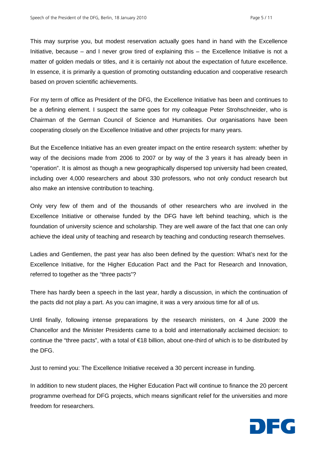This may surprise you, but modest reservation actually goes hand in hand with the Excellence Initiative, because – and I never grow tired of explaining this – the Excellence Initiative is not a matter of golden medals or titles, and it is certainly not about the expectation of future excellence. In essence, it is primarily a question of promoting outstanding education and cooperative research based on proven scientific achievements.

For my term of office as President of the DFG, the Excellence Initiative has been and continues to be a defining element. I suspect the same goes for my colleague Peter Strohschneider, who is Chairman of the German Council of Science and Humanities. Our organisations have been cooperating closely on the Excellence Initiative and other projects for many years.

But the Excellence Initiative has an even greater impact on the entire research system: whether by way of the decisions made from 2006 to 2007 or by way of the 3 years it has already been in "operation". It is almost as though a new geographically dispersed top university had been created, including over 4,000 researchers and about 330 professors, who not only conduct research but also make an intensive contribution to teaching.

Only very few of them and of the thousands of other researchers who are involved in the Excellence Initiative or otherwise funded by the DFG have left behind teaching, which is the foundation of university science and scholarship. They are well aware of the fact that one can only achieve the ideal unity of teaching and research by teaching and conducting research themselves.

Ladies and Gentlemen, the past year has also been defined by the question: What's next for the Excellence Initiative, for the Higher Education Pact and the Pact for Research and Innovation, referred to together as the "three pacts"?

There has hardly been a speech in the last year, hardly a discussion, in which the continuation of the pacts did not play a part. As you can imagine, it was a very anxious time for all of us.

Until finally, following intense preparations by the research ministers, on 4 June 2009 the Chancellor and the Minister Presidents came to a bold and internationally acclaimed decision: to continue the "three pacts", with a total of €18 billion, about one-third of which is to be distributed by the DFG.

Just to remind you: The Excellence Initiative received a 30 percent increase in funding.

In addition to new student places, the Higher Education Pact will continue to finance the 20 percent programme overhead for DFG projects, which means significant relief for the universities and more freedom for researchers.

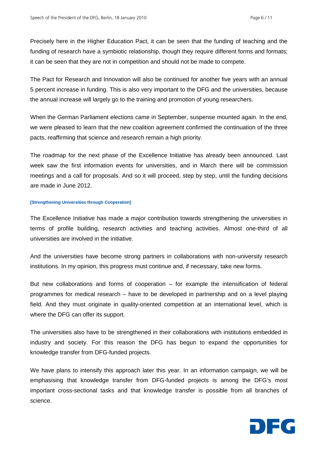Precisely here in the Higher Education Pact, it can be seen that the funding of teaching and the funding of research have a symbiotic relationship, though they require different forms and formats; it can be seen that they are not in competition and should not be made to compete.

The Pact for Research and Innovation will also be continued for another five years with an annual 5 percent increase in funding. This is also very important to the DFG and the universities, because the annual increase will largely go to the training and promotion of young researchers.

When the German Parliament elections came in September, suspense mounted again. In the end, we were pleased to learn that the new coalition agreement confirmed the continuation of the three pacts, reaffirming that science and research remain a high priority.

The roadmap for the next phase of the Excellence Initiative has already been announced. Last week saw the first information events for universities, and in March there will be commission meetings and a call for proposals. And so it will proceed, step by step, until the funding decisions are made in June 2012.

#### **[Strengthening Universities through Cooperation]**

The Excellence Initiative has made a major contribution towards strengthening the universities in terms of profile building, research activities and teaching activities. Almost one-third of all universities are involved in the initiative.

And the universities have become strong partners in collaborations with non-university research institutions. In my opinion, this progress must continue and, if necessary, take new forms.

But new collaborations and forms of cooperation – for example the intensification of federal programmes for medical research – have to be developed in partnership and on a level playing field. And they must originate in quality-oriented competition at an international level, which is where the DFG can offer its support.

The universities also have to be strengthened in their collaborations with institutions embedded in industry and society. For this reason the DFG has begun to expand the opportunities for knowledge transfer from DFG-funded projects.

We have plans to intensify this approach later this year. In an information campaign, we will be emphasising that knowledge transfer from DFG-funded projects is among the DFG's most important cross-sectional tasks and that knowledge transfer is possible from all branches of science.

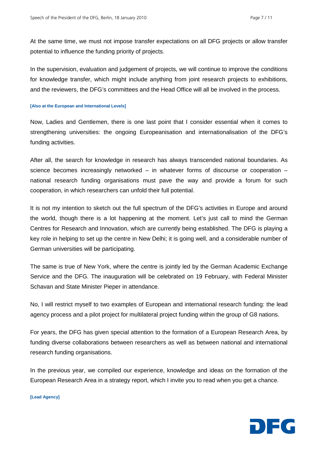At the same time, we must not impose transfer expectations on all DFG projects or allow transfer potential to influence the funding priority of projects.

In the supervision, evaluation and judgement of projects, we will continue to improve the conditions for knowledge transfer, which might include anything from joint research projects to exhibitions, and the reviewers, the DFG's committees and the Head Office will all be involved in the process.

### **[Also at the European and International Levels]**

Now, Ladies and Gentlemen, there is one last point that I consider essential when it comes to strengthening universities: the ongoing Europeanisation and internationalisation of the DFG's funding activities.

After all, the search for knowledge in research has always transcended national boundaries. As science becomes increasingly networked – in whatever forms of discourse or cooperation – national research funding organisations must pave the way and provide a forum for such cooperation, in which researchers can unfold their full potential.

It is not my intention to sketch out the full spectrum of the DFG's activities in Europe and around the world, though there is a lot happening at the moment. Let's just call to mind the German Centres for Research and Innovation, which are currently being established. The DFG is playing a key role in helping to set up the centre in New Delhi; it is going well, and a considerable number of German universities will be participating.

The same is true of New York, where the centre is jointly led by the German Academic Exchange Service and the DFG. The inauguration will be celebrated on 19 February, with Federal Minister Schavan and State Minister Pieper in attendance.

No, I will restrict myself to two examples of European and international research funding: the lead agency process and a pilot project for multilateral project funding within the group of G8 nations.

For years, the DFG has given special attention to the formation of a European Research Area, by funding diverse collaborations between researchers as well as between national and international research funding organisations.

In the previous year, we compiled our experience, knowledge and ideas on the formation of the European Research Area in a strategy report, which I invite you to read when you get a chance.

#### **[Lead Agency]**

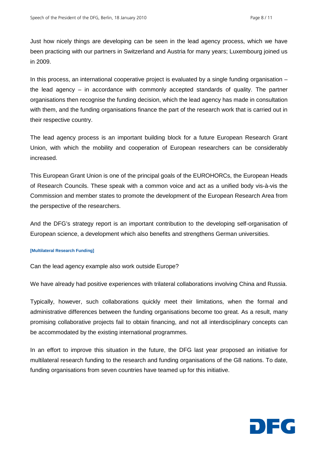Just how nicely things are developing can be seen in the lead agency process, which we have been practicing with our partners in Switzerland and Austria for many years; Luxembourg joined us in 2009.

In this process, an international cooperative project is evaluated by a single funding organisation – the lead agency – in accordance with commonly accepted standards of quality. The partner organisations then recognise the funding decision, which the lead agency has made in consultation with them, and the funding organisations finance the part of the research work that is carried out in their respective country.

The lead agency process is an important building block for a future European Research Grant Union, with which the mobility and cooperation of European researchers can be considerably increased.

This European Grant Union is one of the principal goals of the EUROHORCs, the European Heads of Research Councils. These speak with a common voice and act as a unified body vis-à-vis the Commission and member states to promote the development of the European Research Area from the perspective of the researchers.

And the DFG's strategy report is an important contribution to the developing self-organisation of European science, a development which also benefits and strengthens German universities.

## **[Multilateral Research Funding]**

Can the lead agency example also work outside Europe?

We have already had positive experiences with trilateral collaborations involving China and Russia.

Typically, however, such collaborations quickly meet their limitations, when the formal and administrative differences between the funding organisations become too great. As a result, many promising collaborative projects fail to obtain financing, and not all interdisciplinary concepts can be accommodated by the existing international programmes.

In an effort to improve this situation in the future, the DFG last year proposed an initiative for multilateral research funding to the research and funding organisations of the G8 nations. To date, funding organisations from seven countries have teamed up for this initiative.

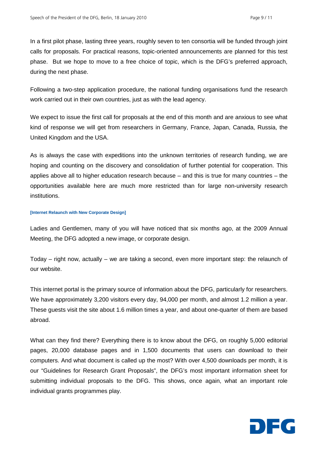In a first pilot phase, lasting three years, roughly seven to ten consortia will be funded through joint calls for proposals. For practical reasons, topic-oriented announcements are planned for this test phase. But we hope to move to a free choice of topic, which is the DFG's preferred approach, during the next phase.

Following a two-step application procedure, the national funding organisations fund the research work carried out in their own countries, just as with the lead agency.

We expect to issue the first call for proposals at the end of this month and are anxious to see what kind of response we will get from researchers in Germany, France, Japan, Canada, Russia, the United Kingdom and the USA.

As is always the case with expeditions into the unknown territories of research funding, we are hoping and counting on the discovery and consolidation of further potential for cooperation. This applies above all to higher education research because – and this is true for many countries – the opportunities available here are much more restricted than for large non-university research institutions.

#### **[Internet Relaunch with New Corporate Design]**

Ladies and Gentlemen, many of you will have noticed that six months ago, at the 2009 Annual Meeting, the DFG adopted a new image, or corporate design.

Today – right now, actually – we are taking a second, even more important step: the relaunch of our website.

This internet portal is the primary source of information about the DFG, particularly for researchers. We have approximately 3,200 visitors every day, 94,000 per month, and almost 1.2 million a year. These guests visit the site about 1.6 million times a year, and about one-quarter of them are based abroad.

What can they find there? Everything there is to know about the DFG, on roughly 5,000 editorial pages, 20,000 database pages and in 1,500 documents that users can download to their computers. And what document is called up the most? With over 4,500 downloads per month, it is our "Guidelines for Research Grant Proposals", the DFG's most important information sheet for submitting individual proposals to the DFG. This shows, once again, what an important role individual grants programmes play.

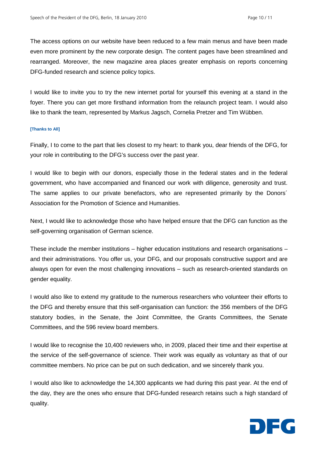The access options on our website have been reduced to a few main menus and have been made even more prominent by the new corporate design. The content pages have been streamlined and rearranged. Moreover, the new magazine area places greater emphasis on reports concerning DFG-funded research and science policy topics.

I would like to invite you to try the new internet portal for yourself this evening at a stand in the foyer. There you can get more firsthand information from the relaunch project team. I would also like to thank the team, represented by Markus Jagsch, Cornelia Pretzer and Tim Wübben.

#### **[Thanks to All]**

Finally, I to come to the part that lies closest to my heart: to thank you, dear friends of the DFG, for your role in contributing to the DFG's success over the past year.

I would like to begin with our donors, especially those in the federal states and in the federal government, who have accompanied and financed our work with diligence, generosity and trust. The same applies to our private benefactors, who are represented primarily by the Donors´ Association for the Promotion of Science and Humanities.

Next, I would like to acknowledge those who have helped ensure that the DFG can function as the self-governing organisation of German science.

These include the member institutions – higher education institutions and research organisations – and their administrations. You offer us, your DFG, and our proposals constructive support and are always open for even the most challenging innovations – such as research-oriented standards on gender equality.

I would also like to extend my gratitude to the numerous researchers who volunteer their efforts to the DFG and thereby ensure that this self-organisation can function: the 356 members of the DFG statutory bodies, in the Senate, the Joint Committee, the Grants Committees, the Senate Committees, and the 596 review board members.

I would like to recognise the 10,400 reviewers who, in 2009, placed their time and their expertise at the service of the self-governance of science. Their work was equally as voluntary as that of our committee members. No price can be put on such dedication, and we sincerely thank you.

I would also like to acknowledge the 14,300 applicants we had during this past year. At the end of the day, they are the ones who ensure that DFG-funded research retains such a high standard of quality.